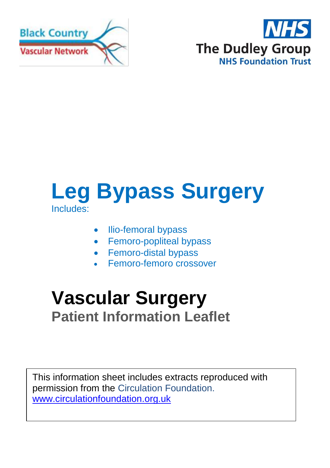



# **Leg Bypass Surgery** Includes:

- Ilio-femoral bypass
- Femoro-popliteal bypass
- Femoro-distal bypass
- Femoro-femoro crossover

# **Vascular Surgery Patient Information Leaflet**

This information sheet includes extracts reproduced with permission from the Circulation Foundation. [www.circulationfoundation.org.uk](http://www.circulationfoundation.org.uk/)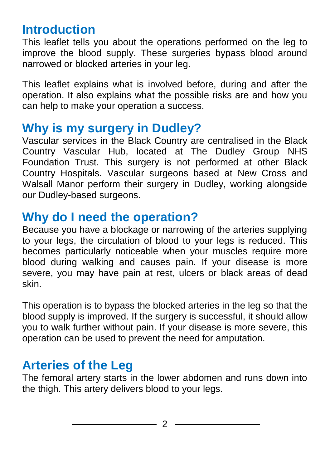## **Introduction**

This leaflet tells you about the operations performed on the leg to improve the blood supply. These surgeries bypass blood around narrowed or blocked arteries in your leg.

This leaflet explains what is involved before, during and after the operation. It also explains what the possible risks are and how you can help to make your operation a success.

### **Why is my surgery in Dudley?**

Vascular services in the Black Country are centralised in the Black Country Vascular Hub, located at The Dudley Group NHS Foundation Trust. This surgery is not performed at other Black Country Hospitals. Vascular surgeons based at New Cross and Walsall Manor perform their surgery in Dudley, working alongside our Dudley-based surgeons.

## **Why do I need the operation?**

Because you have a blockage or narrowing of the arteries supplying to your legs, the circulation of blood to your legs is reduced. This becomes particularly noticeable when your muscles require more blood during walking and causes pain. If your disease is more severe, you may have pain at rest, ulcers or black areas of dead skin.

This operation is to bypass the blocked arteries in the leg so that the blood supply is improved. If the surgery is successful, it should allow you to walk further without pain. If your disease is more severe, this operation can be used to prevent the need for [amputation.](http://www.circulationfoundation.org.uk/help-advice/peripheral-arterial-disease/leg-amputation/)

# **Arteries of the Leg**

The femoral artery starts in the lower abdomen and runs down into the thigh. This artery delivers blood to your legs.

2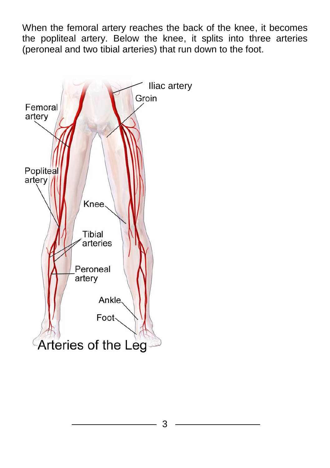When the femoral artery reaches the back of the knee, it becomes the popliteal artery. Below the knee, it splits into three arteries (peroneal and two tibial arteries) that run down to the foot.

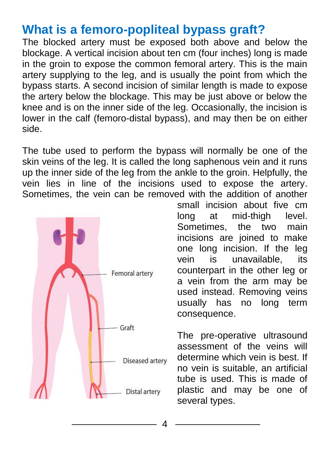### **What is a femoro-popliteal bypass graft?**

The blocked artery must be exposed both above and below the blockage. A vertical incision about ten cm (four inches) long is made in the groin to expose the common femoral artery. This is the main artery supplying to the leg, and is usually the point from which the bypass starts. A second incision of similar length is made to expose the artery below the blockage. This may be just above or below the knee and is on the inner side of the leg. Occasionally, the incision is lower in the calf (femoro-distal bypass), and may then be on either side.

The tube used to perform the bypass will normally be one of the skin veins of the leg. It is called the long saphenous vein and it runs up the inner side of the leg from the ankle to the groin. Helpfully, the vein lies in line of the incisions used to expose the artery. Sometimes, the vein can be removed with the addition of another



small incision about five cm long at mid-thigh level. Sometimes, the two main incisions are joined to make one long incision. If the leg vein is unavailable, its counterpart in the other leg or a vein from the arm may be used instead. Removing veins usually has no long term consequence.

The pre-operative ultrasound assessment of the veins will determine which vein is best. If no vein is suitable, an artificial tube is used. This is made of plastic and may be one of several types.

4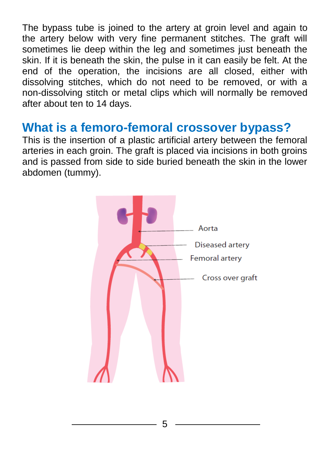The bypass tube is joined to the artery at groin level and again to the artery below with very fine permanent stitches. The graft will sometimes lie deep within the leg and sometimes just beneath the skin. If it is beneath the skin, the pulse in it can easily be felt. At the end of the operation, the incisions are all closed, either with dissolving stitches, which do not need to be removed, or with a non-dissolving stitch or metal clips which will normally be removed after about ten to 14 days.

### **What is a femoro-femoral crossover bypass?**

This is the insertion of a plastic artificial artery between the femoral arteries in each groin. The graft is placed via incisions in both groins and is passed from side to side buried beneath the skin in the lower abdomen (tummy).

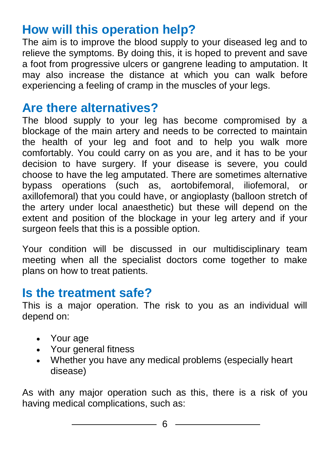# **How will this operation help?**

The aim is to improve the blood supply to your diseased leg and to relieve the symptoms. By doing this, it is hoped to prevent and save a foot from progressive ulcers or gangrene leading to amputation. It may also increase the distance at which you can walk before experiencing a feeling of cramp in the muscles of your legs.

## **Are there alternatives?**

The blood supply to your leg has become compromised by a blockage of the main artery and needs to be corrected to maintain the health of your leg and foot and to help you walk more comfortably. You could carry on as you are, and it has to be your decision to have surgery. If your disease is severe, you could choose to have the leg amputated. There are sometimes alternative bypass operations (such as, aortobifemoral, iliofemoral, or axillofemoral) that you could have, or angioplasty (balloon stretch of the artery under local anaesthetic) but these will depend on the extent and position of the blockage in your leg artery and if your surgeon feels that this is a possible option.

Your condition will be discussed in our multidisciplinary team meeting when all the specialist doctors come together to make plans on how to treat patients.

### **Is the treatment safe?**

This is a major operation. The risk to you as an individual will depend on:

- Your age
- Your general fitness
- Whether you have any medical problems (especially heart disease)

As with any major operation such as this, there is a risk of you having medical complications, such as: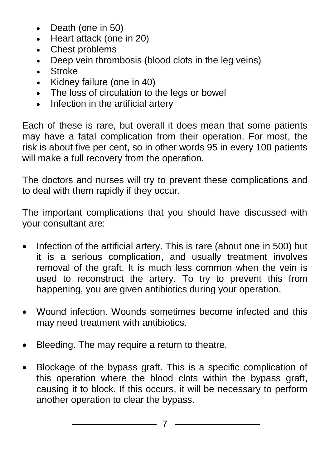- Death (one in 50)
- Heart attack (one in 20)
- Chest problems
- Deep vein thrombosis (blood clots in the leg veins)
- Stroke
- Kidney failure (one in 40)
- The loss of circulation to the legs or bowel
- Infection in the artificial artery

Each of these is rare, but overall it does mean that some patients may have a fatal complication from their operation. For most, the risk is about five per cent, so in other words 95 in every 100 patients will make a full recovery from the operation.

The doctors and nurses will try to prevent these complications and to deal with them rapidly if they occur.

The important complications that you should have discussed with your consultant are:

- Infection of the artificial artery. This is rare (about one in 500) but it is a serious complication, and usually treatment involves removal of the graft. It is much less common when the vein is used to reconstruct the artery. To try to prevent this from happening, you are given antibiotics during your operation.
- Wound infection. Wounds sometimes become infected and this may need treatment with antibiotics.
- Bleeding. The may require a return to theatre.
- Blockage of the bypass graft. This is a specific complication of this operation where the blood clots within the bypass graft, causing it to block. If this occurs, it will be necessary to perform another operation to clear the bypass.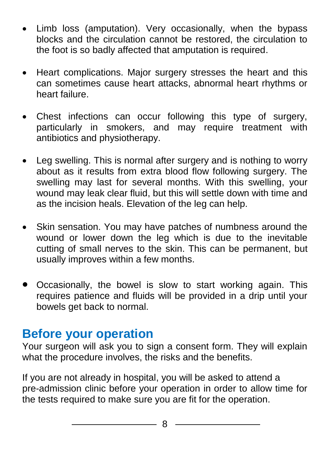- Limb loss (amputation). Very occasionally, when the bypass blocks and the circulation cannot be restored, the circulation to the foot is so badly affected that amputation is required.
- Heart complications. Major surgery stresses the heart and this can sometimes cause heart attacks, abnormal heart rhythms or heart failure.
- Chest infections can occur following this type of surgery, particularly in smokers, and may require treatment with antibiotics and physiotherapy.
- Leg swelling. This is normal after surgery and is nothing to worry about as it results from extra blood flow following surgery. The swelling may last for several months. With this swelling, your wound may leak clear fluid, but this will settle down with time and as the incision heals. Elevation of the leg can help.
- Skin sensation. You may have patches of numbness around the wound or lower down the leg which is due to the inevitable cutting of small nerves to the skin. This can be permanent, but usually improves within a few months.
- Occasionally, the bowel is slow to start working again. This requires patience and fluids will be provided in a drip until your bowels get back to normal.

### **Before your operation**

Your surgeon will ask you to sign a consent form. They will explain what the procedure involves, the risks and the benefits.

If you are not already in hospital, you will be asked to attend a pre-admission clinic before your operation in order to allow time for the tests required to make sure you are fit for the operation.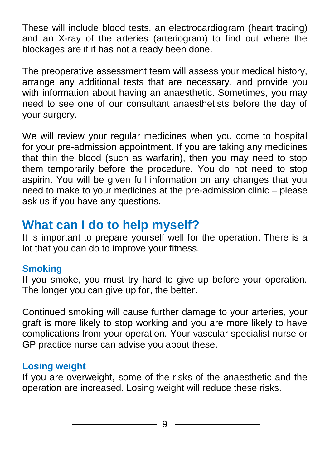These will include blood tests, an electrocardiogram (heart tracing) and an X-ray of the arteries (arteriogram) to find out where the blockages are if it has not already been done.

The preoperative assessment team will assess your medical history, arrange any additional tests that are necessary, and provide you with information about having an anaesthetic. Sometimes, you may need to see one of our consultant anaesthetists before the day of your surgery.

We will review your regular medicines when you come to hospital for your pre-admission appointment. If you are taking any medicines that thin the blood (such as warfarin), then you may need to stop them temporarily before the procedure. You do not need to stop aspirin. You will be given full information on any changes that you need to make to your medicines at the pre-admission clinic – please ask us if you have any questions.

## **What can I do to help myself?**

It is important to prepare yourself well for the operation. There is a lot that you can do to improve your fitness.

#### **Smoking**

If you smoke, you must try hard to give up before your operation. The longer you can give up for, the better.

Continued smoking will cause further damage to your arteries, your graft is more likely to stop working and you are more likely to have complications from your operation. Your vascular specialist nurse or GP practice nurse can advise you about these.

#### **Losing weight**

If you are overweight, some of the risks of the anaesthetic and the operation are increased. Losing weight will reduce these risks.

9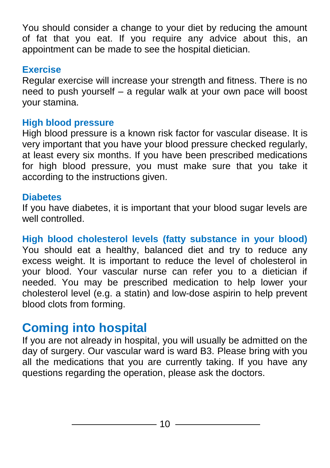You should consider a change to your diet by reducing the amount of fat that you eat. If you require any advice about this, an appointment can be made to see the hospital dietician.

#### **Exercise**

Regular exercise will increase your strength and fitness. There is no need to push yourself – a regular walk at your own pace will boost your stamina.

#### **High blood pressure**

High blood pressure is a known risk factor for vascular disease. It is very important that you have your blood pressure checked regularly, at least every six months. If you have been prescribed medications for high blood pressure, you must make sure that you take it according to the instructions given.

#### **Diabetes**

If you have diabetes, it is important that your blood sugar levels are well controlled.

**High blood cholesterol levels (fatty substance in your blood)** You should eat a healthy, balanced diet and try to reduce any excess weight. It is important to reduce the level of cholesterol in your blood. Your vascular nurse can refer you to a dietician if needed. You may be prescribed medication to help lower your cholesterol level (e.g. a statin) and low-dose aspirin to help prevent blood clots from forming.

# **Coming into hospital**

If you are not already in hospital, you will usually be admitted on the day of surgery. Our vascular ward is ward B3. Please bring with you all the medications that you are currently taking. If you have any questions regarding the operation, please ask the doctors.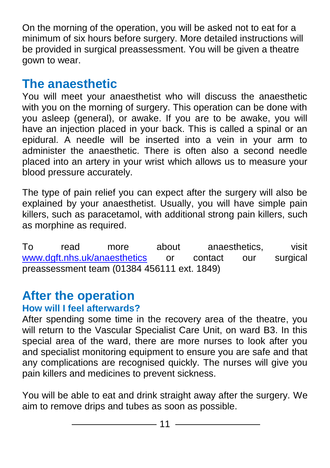On the morning of the operation, you will be asked not to eat for a minimum of six hours before surgery. More detailed instructions will be provided in surgical preassessment. You will be given a theatre gown to wear.

### **The anaesthetic**

You will meet your anaesthetist who will discuss the anaesthetic with you on the morning of surgery. This operation can be done with you asleep (general), or awake. If you are to be awake, you will have an injection placed in your back. This is called a spinal or an epidural. A needle will be inserted into a vein in your arm to administer the anaesthetic. There is often also a second needle placed into an artery in your wrist which allows us to measure your blood pressure accurately.

The type of pain relief you can expect after the surgery will also be explained by your anaesthetist. Usually, you will have simple pain killers, such as paracetamol, with additional strong pain killers, such as morphine as required.

To read more about anaesthetics, visit [www.dgft.nhs.uk/anaesthetics](http://www.dgft.nhs.uk/anaesthetics) or contact our surgical preassessment team (01384 456111 ext. 1849)

# **After the operation**

#### **How will I feel afterwards?**

After spending some time in the recovery area of the theatre, you will return to the Vascular Specialist Care Unit, on ward B3. In this special area of the ward, there are more nurses to look after you and specialist monitoring equipment to ensure you are safe and that any complications are recognised quickly. The nurses will give you pain killers and medicines to prevent sickness.

You will be able to eat and drink straight away after the surgery. We aim to remove drips and tubes as soon as possible.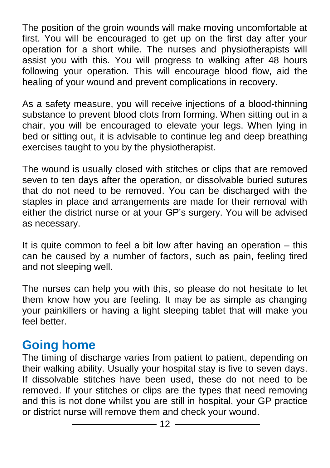The position of the groin wounds will make moving uncomfortable at first. You will be encouraged to get up on the first day after your operation for a short while. The nurses and physiotherapists will assist you with this. You will progress to walking after 48 hours following your operation. This will encourage blood flow, aid the healing of your wound and prevent complications in recovery.

As a safety measure, you will receive injections of a blood-thinning substance to prevent blood clots from forming. When sitting out in a chair, you will be encouraged to elevate your legs. When lying in bed or sitting out, it is advisable to continue leg and deep breathing exercises taught to you by the physiotherapist.

The wound is usually closed with stitches or clips that are removed seven to ten days after the operation, or dissolvable buried sutures that do not need to be removed. You can be discharged with the staples in place and arrangements are made for their removal with either the district nurse or at your GP's surgery. You will be advised as necessary.

It is quite common to feel a bit low after having an operation – this can be caused by a number of factors, such as pain, feeling tired and not sleeping well.

The nurses can help you with this, so please do not hesitate to let them know how you are feeling. It may be as simple as changing your painkillers or having a light sleeping tablet that will make you feel better.

## **Going home**

The timing of discharge varies from patient to patient, depending on their walking ability. Usually your hospital stay is five to seven days. If dissolvable stitches have been used, these do not need to be removed. If your stitches or clips are the types that need removing and this is not done whilst you are still in hospital, your GP practice or district nurse will remove them and check your wound.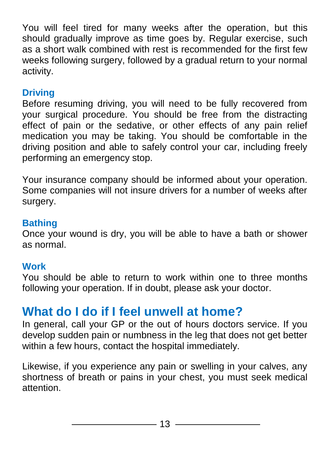You will feel tired for many weeks after the operation, but this should gradually improve as time goes by. Regular exercise, such as a short walk combined with rest is recommended for the first few weeks following surgery, followed by a gradual return to your normal activity.

#### **Driving**

Before resuming driving, you will need to be fully recovered from your surgical procedure. You should be free from the distracting effect of pain or the sedative, or other effects of any pain relief medication you may be taking. You should be comfortable in the driving position and able to safely control your car, including freely performing an emergency stop.

Your insurance company should be informed about your operation. Some companies will not insure drivers for a number of weeks after surgery.

#### **Bathing**

Once your wound is dry, you will be able to have a bath or shower as normal.

#### **Work**

You should be able to return to work within one to three months following your operation. If in doubt, please ask your doctor.

## **What do I do if I feel unwell at home?**

In general, call your GP or the out of hours doctors service. If you develop sudden pain or numbness in the leg that does not get better within a few hours, contact the hospital immediately.

Likewise, if you experience any pain or swelling in your calves, any shortness of breath or pains in your chest, you must seek medical attention.

 $-13 -$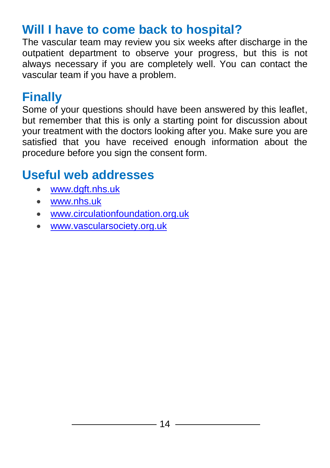## **Will I have to come back to hospital?**

The vascular team may review you six weeks after discharge in the outpatient department to observe your progress, but this is not always necessary if you are completely well. You can contact the vascular team if you have a problem.

### **Finally**

Some of your questions should have been answered by this leaflet, but remember that this is only a starting point for discussion about your treatment with the doctors looking after you. Make sure you are satisfied that you have received enough information about the procedure before you sign the consent form.

### **Useful web addresses**

- [www.dgft.nhs.uk](http://www.dgft.nhs.uk/)
- [www.nhs.uk](http://www.nhs.uk/)
- [www.circulationfoundation.org.uk](http://www.circulationfoundation.org.uk/)
- [www.vascularsociety.org.uk](http://www.vascularsociety.org.uk/)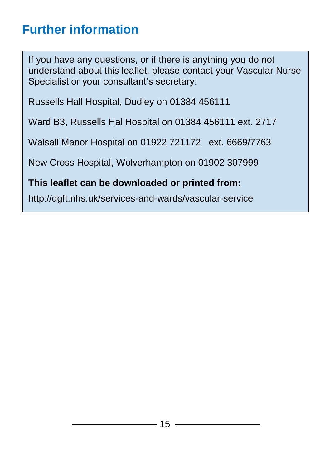# **Further information**

If you have any questions, or if there is anything you do not understand about this leaflet, please contact your Vascular Nurse Specialist or your consultant's secretary:

Russells Hall Hospital, Dudley on 01384 456111

Ward B3, Russells Hal Hospital on 01384 456111 ext. 2717

Walsall Manor Hospital on 01922 721172 ext. 6669/7763

New Cross Hospital, Wolverhampton on 01902 307999

#### **This leaflet can be downloaded or printed from:**

http://dgft.nhs.uk/services-and-wards/vascular-service